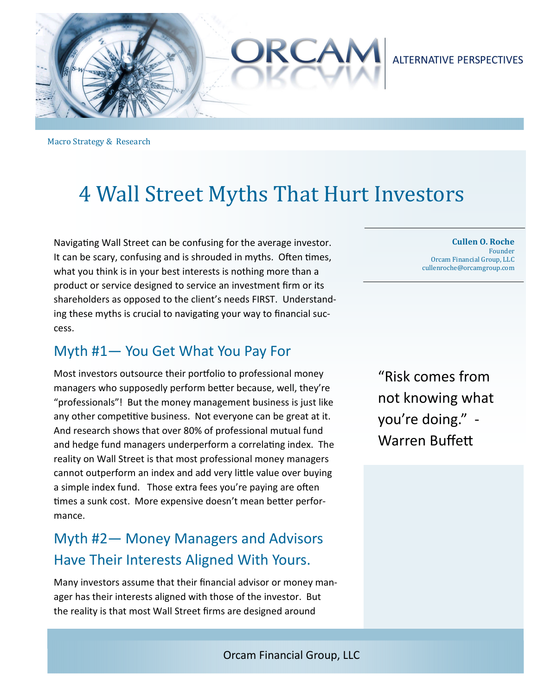

### **ALTERNATIVE PERSPECTIVES**

Macro Strategy & Research

# 4 Wall Street Myths That Hurt Investors

Navigating Wall Street can be confusing for the average investor. It can be scary, confusing and is shrouded in myths. Often times, what you think is in your best interests is nothing more than a product or service designed to service an investment firm or its shareholders as opposed to the client's needs FIRST. Understanding these myths is crucial to navigating your way to financial success.

### Myth #1— You Get What You Pay For

Most investors outsource their portfolio to professional money managers who supposedly perform better because, well, they're "professionals"! But the money management business is just like any other competitive business. Not everyone can be great at it. And research shows that over 80% of professional mutual fund and hedge fund managers underperform a correlating index. The reality on Wall Street is that most professional money managers cannot outperform an index and add very little value over buying a simple index fund. Those extra fees you're paying are often times a sunk cost. More expensive doesn't mean better performance.

## Myth #2— Money Managers and Advisors Have Their Interests Aligned With Yours.

Many investors assume that their financial advisor or money manager has their interests aligned with those of the investor. But the reality is that most Wall Street firms are designed around

**Cullen O. Roche** Founder Orcam Financial Group, LLC cullenroche@orcamgroup.com 

"Risk comes from not knowing what you're doing." - Warren Buffett

Orcam Financial Group, LLC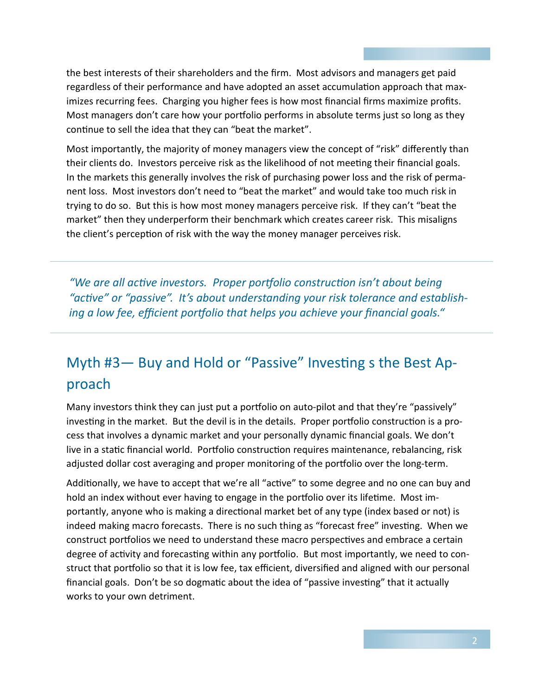the best interests of their shareholders and the firm. Most advisors and managers get paid regardless of their performance and have adopted an asset accumulation approach that maximizes recurring fees. Charging you higher fees is how most financial firms maximize profits. Most managers don't care how your portfolio performs in absolute terms just so long as they continue to sell the idea that they can "beat the market".

Most importantly, the majority of money managers view the concept of "risk" differently than their clients do. Investors perceive risk as the likelihood of not meeting their financial goals. In the markets this generally involves the risk of purchasing power loss and the risk of permanent loss. Most investors don't need to "beat the market" and would take too much risk in trying to do so. But this is how most money managers perceive risk. If they can't "beat the market" then they underperform their benchmark which creates career risk. This misaligns the client's perception of risk with the way the money manager perceives risk.

"We are all active investors. Proper portfolio construction isn't about being "active" or "passive". It's about understanding your risk tolerance and establish*ing a low fee, efficient portfolio that helps you achieve your financial goals."* 

# Myth #3- Buy and Hold or "Passive" Investing s the Best Approach

Many investors think they can just put a portfolio on auto-pilot and that they're "passively" investing in the market. But the devil is in the details. Proper portfolio construction is a process that involves a dynamic market and your personally dynamic financial goals. We don't live in a static financial world. Portfolio construction requires maintenance, rebalancing, risk adjusted dollar cost averaging and proper monitoring of the portfolio over the long-term.

Additionally, we have to accept that we're all "active" to some degree and no one can buy and hold an index without ever having to engage in the portfolio over its lifetime. Most importantly, anyone who is making a directional market bet of any type (index based or not) is indeed making macro forecasts. There is no such thing as "forecast free" investing. When we construct portfolios we need to understand these macro perspectives and embrace a certain degree of activity and forecasting within any portfolio. But most importantly, we need to construct that portfolio so that it is low fee, tax efficient, diversified and aligned with our personal financial goals. Don't be so dogmatic about the idea of "passive investing" that it actually works to your own detriment.